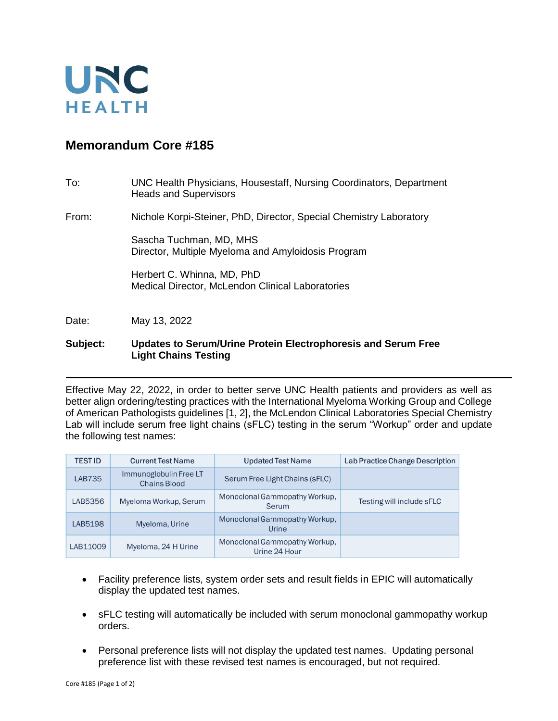

## **Memorandum Core #185**

| To:   | UNC Health Physicians, Housestaff, Nursing Coordinators, Department<br><b>Heads and Supervisors</b> |
|-------|-----------------------------------------------------------------------------------------------------|
| From: | Nichole Korpi-Steiner, PhD, Director, Special Chemistry Laboratory                                  |
|       | Sascha Tuchman, MD, MHS<br>Director, Multiple Myeloma and Amyloidosis Program                       |
|       | Herbert C. Whinna, MD, PhD<br>Medical Director, McLendon Clinical Laboratories                      |
| Date: | May 13, 2022                                                                                        |

## **Subject: Updates to Serum/Urine Protein Electrophoresis and Serum Free Light Chains Testing**

Effective May 22, 2022, in order to better serve UNC Health patients and providers as well as better align ordering/testing practices with the International Myeloma Working Group and College of American Pathologists guidelines [1, 2], the McLendon Clinical Laboratories Special Chemistry Lab will include serum free light chains (sFLC) testing in the serum "Workup" order and update the following test names:

| <b>TESTID</b> | <b>Current Test Name</b>                      | <b>Updated Test Name</b>                       | Lab Practice Change Description |
|---------------|-----------------------------------------------|------------------------------------------------|---------------------------------|
| <b>LAB735</b> | Immunoglobulin Free LT<br><b>Chains Blood</b> | Serum Free Light Chains (sFLC)                 |                                 |
| LAB5356       | Myeloma Workup, Serum                         | Monoclonal Gammopathy Workup,<br>Serum         | Testing will include sFLC       |
| LAB5198       | Myeloma, Urine                                | Monoclonal Gammopathy Workup,<br>Urine         |                                 |
| LAB11009      | Myeloma, 24 H Urine                           | Monoclonal Gammopathy Workup,<br>Urine 24 Hour |                                 |

- Facility preference lists, system order sets and result fields in EPIC will automatically display the updated test names.
- sFLC testing will automatically be included with serum monoclonal gammopathy workup orders.
- Personal preference lists will not display the updated test names. Updating personal preference list with these revised test names is encouraged, but not required.